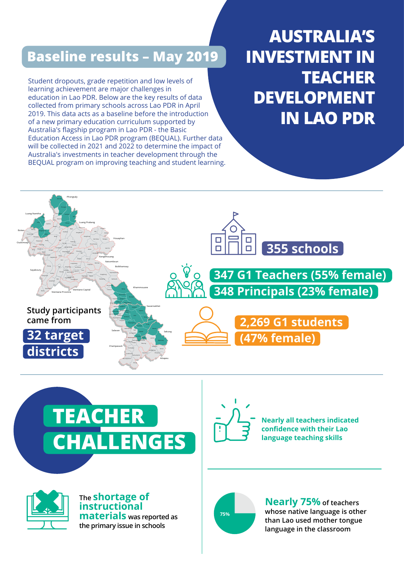## **Baseline results – May 2019**

Student dropouts, grade repetition and low levels of learning achievement are major challenges in education in Lao PDR. Below are the key results of data collected from primary schools across Lao PDR in April 2019. This data acts as a baseline before the introduction of a new primary education curriculum supported by Australia's flagship program in Lao PDR - the Basic Education Access in Lao PDR program (BEQUAL). Further data will be collected in 2021 and 2022 to determine the impact of Australia's investments in teacher development through the BEQUAL program on improving teaching and student learning.

**AUSTRALIA'S INVESTMENT IN TEACHER DEVELOPMENT IN LAO PDR**







**The shortage of instructional materials was reported as the primary issue in schools**



**Nearly all teachers indicated confidence with their Lao language teaching skills**



**Nearly 75% of teachers whose native language is other than Lao used mother tongue language in the classroom**